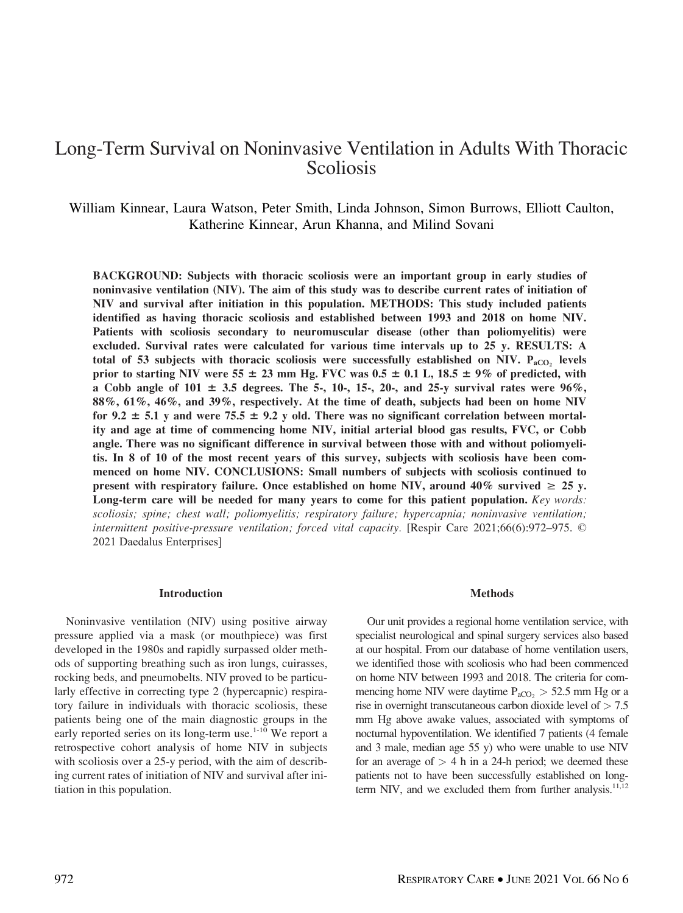# Long-Term Survival on Noninvasive Ventilation in Adults With Thoracic Scoliosis

William Kinnear, Laura Watson, Peter Smith, Linda Johnson, Simon Burrows, Elliott Caulton, Katherine Kinnear, Arun Khanna, and Milind Sovani

BACKGROUND: Subjects with thoracic scoliosis were an important group in early studies of noninvasive ventilation (NIV). The aim of this study was to describe current rates of initiation of NIV and survival after initiation in this population. METHODS: This study included patients identified as having thoracic scoliosis and established between 1993 and 2018 on home NIV. Patients with scoliosis secondary to neuromuscular disease (other than poliomyelitis) were excluded. Survival rates were calculated for various time intervals up to 25 y. RESULTS: A total of 53 subjects with thoracic scoliosis were successfully established on NIV.  $P_{aCO}$  levels prior to starting NIV were 55  $\pm$  23 mm Hg. FVC was 0.5  $\pm$  0.1 L, 18.5  $\pm$  9% of predicted, with a Cobb angle of  $101 \pm 3.5$  degrees. The 5-, 10-, 15-, 20-, and 25-y survival rates were 96%, 88%, 61%, 46%, and 39%, respectively. At the time of death, subjects had been on home NIV for 9.2  $\pm$  5.1 y and were 75.5  $\pm$  9.2 y old. There was no significant correlation between mortality and age at time of commencing home NIV, initial arterial blood gas results, FVC, or Cobb angle. There was no significant difference in survival between those with and without poliomyelitis. In 8 of 10 of the most recent years of this survey, subjects with scoliosis have been commenced on home NIV. CONCLUSIONS: Small numbers of subjects with scoliosis continued to present with respiratory failure. Once established on home NIV, around 40% survived  $\geq 25$  y. Long-term care will be needed for many years to come for this patient population. Key words: scoliosis; spine; chest wall; poliomyelitis; respiratory failure; hypercapnia; noninvasive ventilation; intermittent positive-pressure ventilation; forced vital capacity. [Respir Care 2021;66(6):972–975. © 2021 Daedalus Enterprises]

#### Introduction

Noninvasive ventilation (NIV) using positive airway pressure applied via a mask (or mouthpiece) was first developed in the 1980s and rapidly surpassed older methods of supporting breathing such as iron lungs, cuirasses, rocking beds, and pneumobelts. NIV proved to be particularly effective in correcting type 2 (hypercapnic) respiratory failure in individuals with thoracic scoliosis, these patients being one of the main diagnostic groups in the early reported series on its long-term use.<sup>1-10</sup> We report a retrospective cohort analysis of home NIV in subjects with scoliosis over a 25-y period, with the aim of describing current rates of initiation of NIV and survival after initiation in this population.

#### Methods

Our unit provides a regional home ventilation service, with specialist neurological and spinal surgery services also based at our hospital. From our database of home ventilation users, we identified those with scoliosis who had been commenced on home NIV between 1993 and 2018. The criteria for commencing home NIV were daytime  $P_{aCO_2} > 52.5$  mm Hg or a rise in overnight transcutaneous carbon dioxide level of  $> 7.5$ mm Hg above awake values, associated with symptoms of nocturnal hypoventilation. We identified 7 patients (4 female and 3 male, median age 55 y) who were unable to use NIV for an average of  $> 4$  h in a 24-h period; we deemed these patients not to have been successfully established on longterm NIV, and we excluded them from further analysis. $11,12$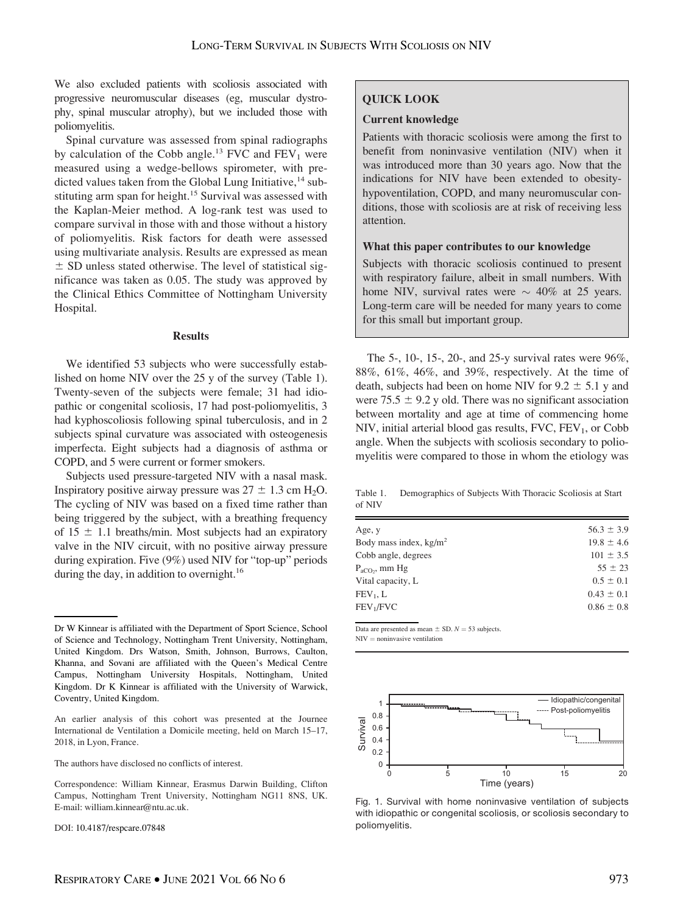We also excluded patients with scoliosis associated with progressive neuromuscular diseases (eg, muscular dystrophy, spinal muscular atrophy), but we included those with poliomyelitis.

Spinal curvature was assessed from spinal radiographs by calculation of the Cobb angle.<sup>13</sup> FVC and  $FEV_1$  were measured using a wedge-bellows spirometer, with predicted values taken from the Global Lung Initiative,  $14$  substituting arm span for height.<sup>15</sup> Survival was assessed with the Kaplan-Meier method. A log-rank test was used to compare survival in those with and those without a history of poliomyelitis. Risk factors for death were assessed using multivariate analysis. Results are expressed as mean  $\pm$  SD unless stated otherwise. The level of statistical significance was taken as 0.05. The study was approved by the Clinical Ethics Committee of Nottingham University Hospital.

#### Results

We identified 53 subjects who were successfully established on home NIV over the 25 y of the survey (Table 1). Twenty-seven of the subjects were female; 31 had idiopathic or congenital scoliosis, 17 had post-poliomyelitis, 3 had kyphoscoliosis following spinal tuberculosis, and in 2 subjects spinal curvature was associated with osteogenesis imperfecta. Eight subjects had a diagnosis of asthma or COPD, and 5 were current or former smokers.

Subjects used pressure-targeted NIV with a nasal mask. Inspiratory positive airway pressure was  $27 \pm 1.3$  cm H<sub>2</sub>O. The cycling of NIV was based on a fixed time rather than being triggered by the subject, with a breathing frequency of  $15 \pm 1.1$  breaths/min. Most subjects had an expiratory valve in the NIV circuit, with no positive airway pressure during expiration. Five (9%) used NIV for "top-up" periods during the day, in addition to overnight.<sup>16</sup>

The authors have disclosed no conflicts of interest.

DOI: 10.4187/respcare.07848

# QUICK LOOK

## Current knowledge

Patients with thoracic scoliosis were among the first to benefit from noninvasive ventilation (NIV) when it was introduced more than 30 years ago. Now that the indications for NIV have been extended to obesityhypoventilation, COPD, and many neuromuscular conditions, those with scoliosis are at risk of receiving less attention.

# What this paper contributes to our knowledge

Subjects with thoracic scoliosis continued to present with respiratory failure, albeit in small numbers. With home NIV, survival rates were  $\sim$  40% at 25 years. Long-term care will be needed for many years to come for this small but important group.

The 5-, 10-, 15-, 20-, and 25-y survival rates were 96%, 88%, 61%, 46%, and 39%, respectively. At the time of death, subjects had been on home NIV for  $9.2 \pm 5.1$  y and were 75.5  $\pm$  9.2 y old. There was no significant association between mortality and age at time of commencing home NIV, initial arterial blood gas results,  $FVC$ ,  $FEV<sub>1</sub>$ , or Cobb angle. When the subjects with scoliosis secondary to poliomyelitis were compared to those in whom the etiology was

Table 1. Demographics of Subjects With Thoracic Scoliosis at Start of NIV

| Age, y                   | $56.3 \pm 3.9$ |
|--------------------------|----------------|
| Body mass index, $kg/m2$ | $19.8 \pm 4.6$ |
| Cobb angle, degrees      | $101 \pm 3.5$  |
| $P_{aCO}$ , mm Hg        | $55 \pm 23$    |
| Vital capacity, L        | $0.5 \pm 0.1$  |
| FEV <sub>1</sub> , L     | $0.43 \pm 0.1$ |
| FEV <sub>1</sub> /FVC    | $0.86 \pm 0.8$ |
|                          |                |

Data are presented as mean  $\pm$  SD.  $N = 53$  subjects.  $NIV =$  noninvasive ventilation



Fig. 1. Survival with home noninvasive ventilation of subjects with idiopathic or congenital scoliosis, or scoliosis secondary to poliomyelitis.

Dr W Kinnear is affiliated with the Department of Sport Science, School of Science and Technology, Nottingham Trent University, Nottingham, United Kingdom. Drs Watson, Smith, Johnson, Burrows, Caulton, Khanna, and Sovani are affiliated with the Queen's Medical Centre Campus, Nottingham University Hospitals, Nottingham, United Kingdom. Dr K Kinnear is affiliated with the University of Warwick, Coventry, United Kingdom.

An earlier analysis of this cohort was presented at the Journee International de Ventilation a Domicile meeting, held on March 15–17, 2018, in Lyon, France.

Correspondence: William Kinnear, Erasmus Darwin Building, Clifton Campus, Nottingham Trent University, Nottingham NG11 8NS, UK. E-mail: [william.kinnear@ntu.ac.uk.](mailto:william.kinnear@ntu.ac.uk)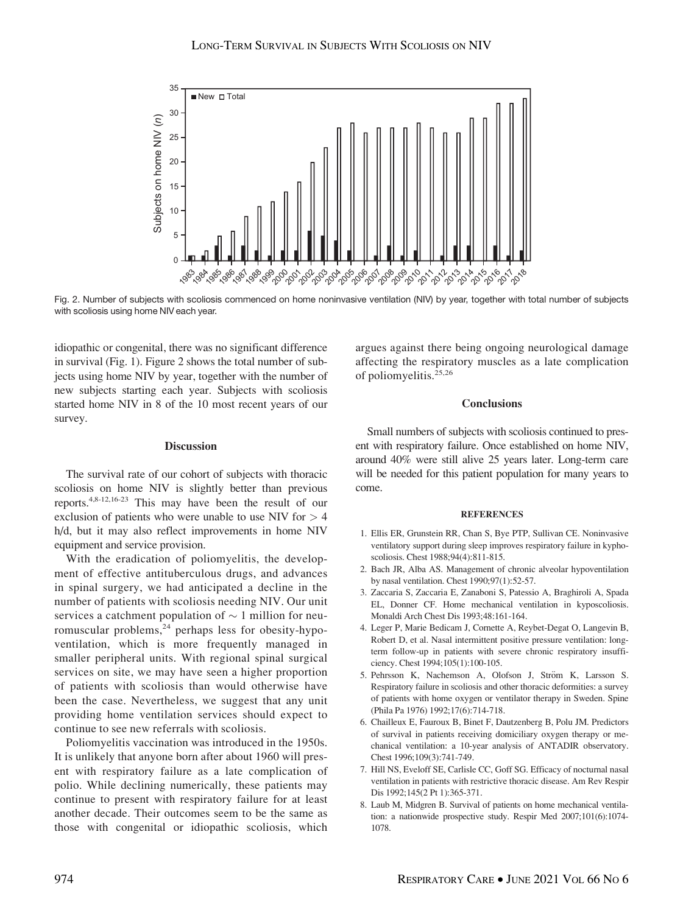

Fig. 2. Number of subjects with scoliosis commenced on home noninvasive ventilation (NIV) by year, together with total number of subjects with scoliosis using home NIV each year.

idiopathic or congenital, there was no significant difference in survival (Fig. 1). Figure 2 shows the total number of subjects using home NIV by year, together with the number of new subjects starting each year. Subjects with scoliosis started home NIV in 8 of the 10 most recent years of our survey.

# **Discussion**

The survival rate of our cohort of subjects with thoracic scoliosis on home NIV is slightly better than previous reports.4,8-12,16-23 This may have been the result of our exclusion of patients who were unable to use NIV for  $> 4$ h/d, but it may also reflect improvements in home NIV equipment and service provision.

With the eradication of poliomyelitis, the development of effective antituberculous drugs, and advances in spinal surgery, we had anticipated a decline in the number of patients with scoliosis needing NIV. Our unit services a catchment population of  $\sim$  1 million for neuromuscular problems, $^{24}$  perhaps less for obesity-hypoventilation, which is more frequently managed in smaller peripheral units. With regional spinal surgical services on site, we may have seen a higher proportion of patients with scoliosis than would otherwise have been the case. Nevertheless, we suggest that any unit providing home ventilation services should expect to continue to see new referrals with scoliosis.

Poliomyelitis vaccination was introduced in the 1950s. It is unlikely that anyone born after about 1960 will present with respiratory failure as a late complication of polio. While declining numerically, these patients may continue to present with respiratory failure for at least another decade. Their outcomes seem to be the same as those with congenital or idiopathic scoliosis, which

argues against there being ongoing neurological damage affecting the respiratory muscles as a late complication of poliomyelitis.25,26

# **Conclusions**

Small numbers of subjects with scoliosis continued to present with respiratory failure. Once established on home NIV, around 40% were still alive 25 years later. Long-term care will be needed for this patient population for many years to come.

# **REFERENCES**

- 1. Ellis ER, Grunstein RR, Chan S, Bye PTP, Sullivan CE. Noninvasive ventilatory support during sleep improves respiratory failure in kyphoscoliosis. Chest 1988;94(4):811-815.
- 2. Bach JR, Alba AS. Management of chronic alveolar hypoventilation by nasal ventilation. Chest 1990;97(1):52-57.
- 3. Zaccaria S, Zaccaria E, Zanaboni S, Patessio A, Braghiroli A, Spada EL, Donner CF. Home mechanical ventilation in kyposcoliosis. Monaldi Arch Chest Dis 1993;48:161-164.
- 4. Leger P, Marie Bedicam J, Cornette A, Reybet-Degat O, Langevin B, Robert D, et al. Nasal intermittent positive pressure ventilation: longterm follow-up in patients with severe chronic respiratory insufficiency. Chest 1994;105(1):100-105.
- 5. Pehrsson K, Nachemson A, Olofson J, Ström K, Larsson S. Respiratory failure in scoliosis and other thoracic deformities: a survey of patients with home oxygen or ventilator therapy in Sweden. Spine (Phila Pa 1976) 1992;17(6):714-718.
- 6. Chailleux E, Fauroux B, Binet F, Dautzenberg B, Polu JM. Predictors of survival in patients receiving domiciliary oxygen therapy or mechanical ventilation: a 10-year analysis of ANTADIR observatory. Chest 1996;109(3):741-749.
- 7. Hill NS, Eveloff SE, Carlisle CC, Goff SG. Efficacy of nocturnal nasal ventilation in patients with restrictive thoracic disease. Am Rev Respir Dis 1992;145(2 Pt 1):365-371.
- 8. Laub M, Midgren B. Survival of patients on home mechanical ventilation: a nationwide prospective study. Respir Med 2007;101(6):1074- 1078.